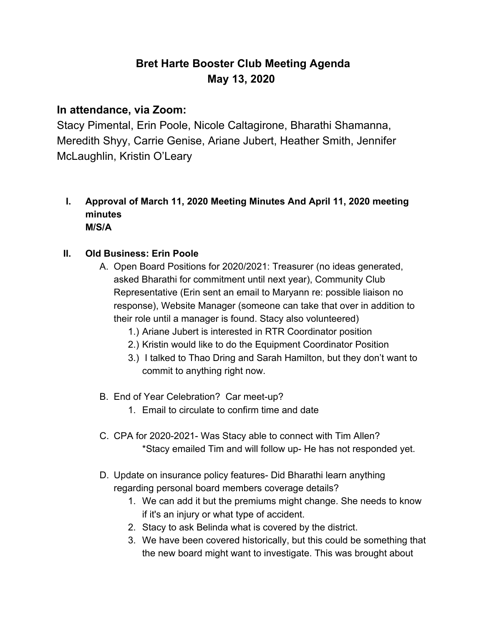# **Bret Harte Booster Club Meeting Agenda May 13, 2020**

## **In attendance, via Zoom:**

Stacy Pimental, Erin Poole, Nicole Caltagirone, Bharathi Shamanna, Meredith Shyy, Carrie Genise, Ariane Jubert, Heather Smith, Jennifer McLaughlin, Kristin O'Leary

**I. Approval of March 11, 2020 Meeting Minutes And April 11, 2020 meeting minutes M/S/A**

#### **II. Old Business: Erin Poole**

- A. Open Board Positions for 2020/2021: Treasurer (no ideas generated, asked Bharathi for commitment until next year), Community Club Representative (Erin sent an email to Maryann re: possible liaison no response), Website Manager (someone can take that over in addition to their role until a manager is found. Stacy also volunteered)
	- 1.) Ariane Jubert is interested in RTR Coordinator position
	- 2.) Kristin would like to do the Equipment Coordinator Position
	- 3.) I talked to Thao Dring and Sarah Hamilton, but they don't want to commit to anything right now.
- B. End of Year Celebration? Car meet-up?
	- 1. Email to circulate to confirm time and date
- C. CPA for 2020-2021- Was Stacy able to connect with Tim Allen? \*Stacy emailed Tim and will follow up- He has not responded yet.
- D. Update on insurance policy features- Did Bharathi learn anything regarding personal board members coverage details?
	- 1. We can add it but the premiums might change. She needs to know if it's an injury or what type of accident.
	- 2. Stacy to ask Belinda what is covered by the district.
	- 3. We have been covered historically, but this could be something that the new board might want to investigate. This was brought about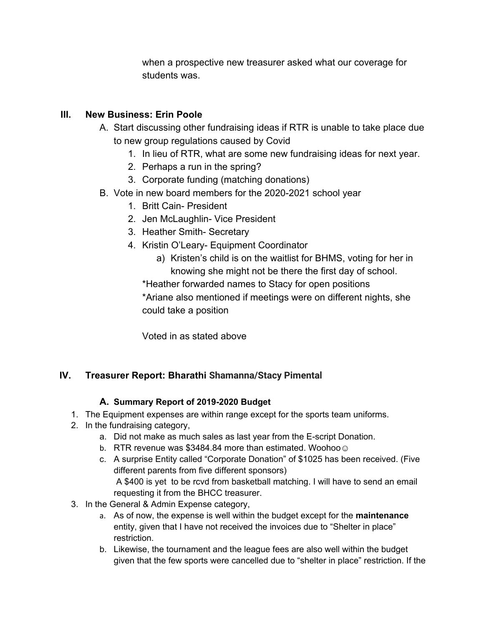when a prospective new treasurer asked what our coverage for students was.

#### **III. New Business: Erin Poole**

- A. Start discussing other fundraising ideas if RTR is unable to take place due to new group regulations caused by Covid
	- 1. In lieu of RTR, what are some new fundraising ideas for next year.
	- 2. Perhaps a run in the spring?
	- 3. Corporate funding (matching donations)
- B. Vote in new board members for the 2020-2021 school year
	- 1. Britt Cain- President
	- 2. Jen McLaughlin- Vice President
	- 3. Heather Smith- Secretary
	- 4. Kristin O'Leary- Equipment Coordinator
		- a) Kristen's child is on the waitlist for BHMS, voting for her in knowing she might not be there the first day of school.
		- \*Heather forwarded names to Stacy for open positions

\*Ariane also mentioned if meetings were on different nights, she could take a position

Voted in as stated above

#### **IV. Treasurer Report: Bharathi Shamanna/Stacy Pimental**

#### **A. Summary Report of 2019-2020 Budget**

- 1. The Equipment expenses are within range except for the sports team uniforms.
- 2. In the fundraising category,
	- a. Did not make as much sales as last year from the E-script Donation.
	- b. RTR revenue was \$3484.84 more than estimated. Woohoo  $\odot$
	- c. A surprise Entity called "Corporate Donation" of \$1025 has been received. (Five different parents from five different sponsors) A \$400 is yet to be rcvd from basketball matching. I will have to send an email requesting it from the BHCC treasurer.
- 3. In the General & Admin Expense category,
	- a. As of now, the expense is well within the budget except for the **maintenance** entity, given that I have not received the invoices due to "Shelter in place" restriction.
	- b. Likewise, the tournament and the league fees are also well within the budget given that the few sports were cancelled due to "shelter in place" restriction. If the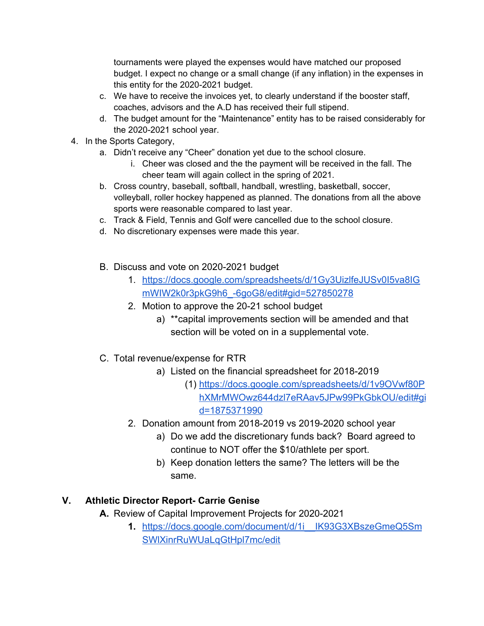tournaments were played the expenses would have matched our proposed budget. I expect no change or a small change (if any inflation) in the expenses in this entity for the 2020-2021 budget.

- c. We have to receive the invoices yet, to clearly understand if the booster staff, coaches, advisors and the A.D has received their full stipend.
- d. The budget amount for the "Maintenance" entity has to be raised considerably for the 2020-2021 school year.
- 4. In the Sports Category,
	- a. Didn't receive any "Cheer" donation yet due to the school closure.
		- i. Cheer was closed and the the payment will be received in the fall. The cheer team will again collect in the spring of 2021.
	- b. Cross country, baseball, softball, handball, wrestling, basketball, soccer, volleyball, roller hockey happened as planned. The donations from all the above sports were reasonable compared to last year.
	- c. Track & Field, Tennis and Golf were cancelled due to the school closure.
	- d. No discretionary expenses were made this year.
	- B. Discuss and vote on 2020-2021 budget
		- 1. [https://docs.google.com/spreadsheets/d/1Gy3UizlfeJUSv0I5va8IG](https://docs.google.com/spreadsheets/d/1Gy3UizlfeJUSv0I5va8IGmWIW2k0r3pkG9h6_-6goG8/edit#gid=527850278) [mWIW2k0r3pkG9h6\\_-6goG8/edit#gid=527850278](https://docs.google.com/spreadsheets/d/1Gy3UizlfeJUSv0I5va8IGmWIW2k0r3pkG9h6_-6goG8/edit#gid=527850278)
		- 2. Motion to approve the 20-21 school budget
			- a) \*\*capital improvements section will be amended and that section will be voted on in a supplemental vote.
	- C. Total revenue/expense for RTR
		- a) Listed on the financial spreadsheet for 2018-2019
			- (1) [https://docs.google.com/spreadsheets/d/1v9OVwf80P](https://docs.google.com/spreadsheets/d/1v9OVwf80PhXMrMWOwz644dzl7eRAav5JPw99PkGbkOU/edit#gid=1875371990) [hXMrMWOwz644dzl7eRAav5JPw99PkGbkOU/edit#gi](https://docs.google.com/spreadsheets/d/1v9OVwf80PhXMrMWOwz644dzl7eRAav5JPw99PkGbkOU/edit#gid=1875371990) [d=1875371990](https://docs.google.com/spreadsheets/d/1v9OVwf80PhXMrMWOwz644dzl7eRAav5JPw99PkGbkOU/edit#gid=1875371990)
		- 2. Donation amount from 2018-2019 vs 2019-2020 school year
			- a) Do we add the discretionary funds back? Board agreed to continue to NOT offer the \$10/athlete per sport.
			- b) Keep donation letters the same? The letters will be the same.

#### **V. Athletic Director Report- Carrie Genise**

**A.** Review of Capital Improvement Projects for 2020-2021

**1.** [https://docs.google.com/document/d/1i\\_\\_IK93G3XBszeGmeQ5Sm](https://docs.google.com/document/d/1i__IK93G3XBszeGmeQ5SmSWlXinrRuWUaLqGtHpl7mc/edit) [SWlXinrRuWUaLqGtHpl7mc/edit](https://docs.google.com/document/d/1i__IK93G3XBszeGmeQ5SmSWlXinrRuWUaLqGtHpl7mc/edit)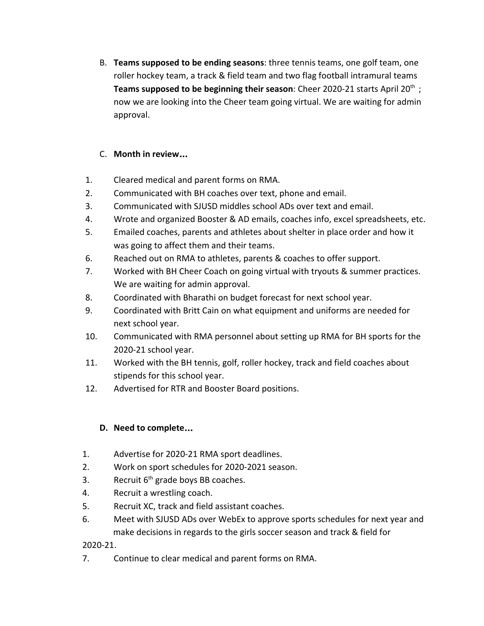B. **Teams supposed to be ending seasons**: three tennis teams, one golf team, one roller hockey team, a track & field team and two flag football intramural teams **Teams supposed to be beginning their season**: Cheer 2020-21 starts April 20<sup>th</sup>; now we are looking into the Cheer team going virtual. We are waiting for admin approval.

#### C. **Month in review**…

- 1. Cleared medical and parent forms on RMA.
- 2. Communicated with BH coaches over text, phone and email.
- 3. Communicated with SJUSD middles school ADs over text and email.
- 4. Wrote and organized Booster & AD emails, coaches info, excel spreadsheets, etc.
- 5. Emailed coaches, parents and athletes about shelter in place order and how it was going to affect them and their teams.
- 6. Reached out on RMA to athletes, parents & coaches to offer support.
- 7. Worked with BH Cheer Coach on going virtual with tryouts & summer practices. We are waiting for admin approval.
- 8. Coordinated with Bharathi on budget forecast for next school year.
- 9. Coordinated with Britt Cain on what equipment and uniforms are needed for next school year.
- 10. Communicated with RMA personnel about setting up RMA for BH sports for the 2020-21 school year.
- 11. Worked with the BH tennis, golf, roller hockey, track and field coaches about stipends for this school year.
- 12. Advertised for RTR and Booster Board positions.

#### **D. Need to complete**…

- 1. Advertise for 2020-21 RMA sport deadlines.
- 2. Work on sport schedules for 2020-2021 season.
- 3. Recruit  $6<sup>th</sup>$  grade boys BB coaches.
- 4. Recruit a wrestling coach.
- 5. Recruit XC, track and field assistant coaches.
- 6. Meet with SJUSD ADs over WebEx to approve sports schedules for next year and make decisions in regards to the girls soccer season and track & field for

2020-21.

7. Continue to clear medical and parent forms on RMA.